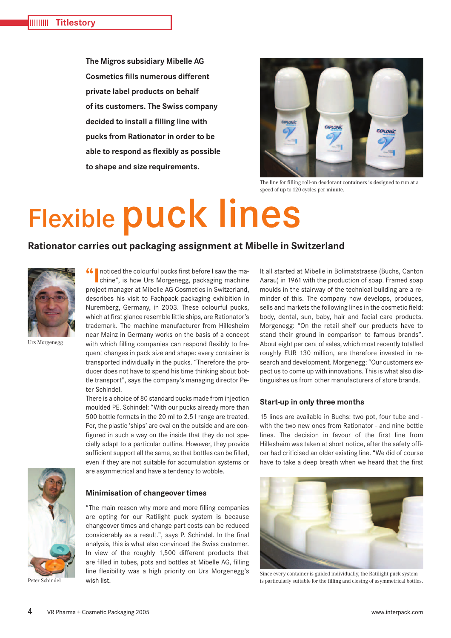**The Migros subsidiary Mibelle AG Cosmetics fills numerous different private label products on behalf of its customers. The Swiss company decided to install a filling line with pucks from Rationator in order to be able to respond as flexibly as possible to shape and size requirements.**



The line for filling roll-on deodorant containers is designed to run at a speed of up to 120 cycles per minute.

# Flexible puck lines

## **Rationator carries out packaging assignment at Mibelle in Switzerland**



Urs Morgenegg

chine", is how Urs Morgenegg, packaging machine project manager at Mibelle AG Cosmetics in Switzerland, describes his visit to Fachpack packaging exhibition in Nuremberg, Germany, in 2003. These colourful pucks, which at first glance resemble little ships, are Rationator's trademark. The machine manufacturer from Hillesheim near Mainz in Germany works on the basis of a concept with which filling companies can respond flexibly to frequent changes in pack size and shape: every container is transported individually in the pucks. "Therefore the producer does not have to spend his time thinking about bottle transport", says the company's managing director Peter Schindel.

**66** noticed the colourful pucks first before I saw the ma-

There is a choice of 80 standard pucks made from injection moulded PE. Schindel: "With our pucks already more than 500 bottle formats in the 20 ml to 2.5 l range are treated. For, the plastic 'ships' are oval on the outside and are configured in such a way on the inside that they do not specially adapt to a particular outline. However, they provide sufficient support all the same, so that bottles can be filled, even if they are not suitable for accumulation systems or are asymmetrical and have a tendency to wobble.



Peter Schindel

### **Minimisation of changeover times**

"The main reason why more and more filling companies are opting for our Ratilight puck system is because changeover times and change part costs can be reduced considerably as a result.", says P. Schindel. In the final analysis, this is what also convinced the Swiss customer. In view of the roughly 1,500 different products that are filled in tubes, pots and bottles at Mibelle AG, filling line flexibility was a high priority on Urs Morgenegg's wish list.

It all started at Mibelle in Bolimatstrasse (Buchs, Canton Aarau) in 1961 with the production of soap. Framed soap moulds in the stairway of the technical building are a reminder of this. The company now develops, produces, sells and markets the following lines in the cosmetic field: body, dental, sun, baby, hair and facial care products. Morgenegg: "On the retail shelf our products have to stand their ground in comparison to famous brands". About eight per cent of sales, which most recently totalled roughly EUR 130 million, are therefore invested in research and development. Morgenegg: "Our customers expect us to come up with innovations. This is what also distinguishes us from other manufacturers of store brands.

### **Start-up in only three months**

15 lines are available in Buchs: two pot, four tube and with the two new ones from Rationator - and nine bottle lines. The decision in favour of the first line from Hillesheim was taken at short notice, after the safety officer had criticised an older existing line. "We did of course have to take a deep breath when we heard that the first



Since every container is guided individually, the Ratilight puck system is particularly suitable for the filling and closing of asymmetrical bottles.